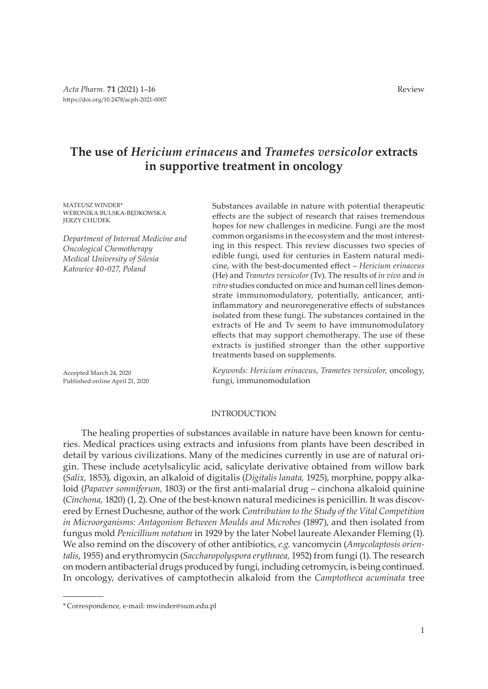# **The use of** *Hericium erinaceus* **and** *Trametes versicolor* **extracts in supportive treatment in oncology**

MATEUSZ WINDER\* WERONIKA BULSKA-BEDKOWSKA JERZY CHUDEK

*Department of Internal Medicine and Oncological Chemotherapy Medical University of Silesia Katowice 40-027, Poland*

Accepted March 24, 2020 Published online April 21, 2020 Substances available in nature with potential therapeutic effects are the subject of research that raises tremendous hopes for new challenges in medicine. Fungi are the most common organisms in the ecosystem and the most interesting in this respect. This review discusses two species of edible fungi, used for centuries in Eastern natural medicine, with the best-documented effect – *Hericium erinaceus* (He) and *Trametes versicolor* (Tv). The results of *in vivo* and *in vitro* studies conducted on mice and human cell lines demonstrate immunomodulatory, potentially, anticancer, antiinflammatory and neuroregenerative effects of substances isolated from these fungi. The substances contained in the extracts of He and Tv seem to have immunomodulatory effects that may support chemotherapy. The use of these extracts is justified stronger than the other supportive treatments based on supplements.

*Keywords: Hericium erinaceus*, *Trametes versicolor*, oncology, fungi, immunomodulation

# INTRODUCTION

The healing properties of substances available in nature have been known for centuries. Medical practices using extracts and infusions from plants have been described in detail by various civilizations. Many of the medicines currently in use are of natural origin. These include acetylsalicylic acid, salicylate derivative obtained from willow bark (*Salix,* 1853), digoxin, an alkaloid of digitalis (*Digitalis lanata,* 1925), morphine, poppy alkaloid (*Papaver somniferum,* 1803) or the first anti-malarial drug – cinchona alkaloid quinine (*Cinchona,* 1820) (1, 2). One of the best-known natural medicines is penicillin. It was discovered by Ernest Duchesne, author of the work *Contribution to the Study of the Vital Competition in Microorganisms: Antagonism Between Moulds and Microbes* (1897), and then isolated from fungus mold *Penicillium notatum* in 1929 by the later Nobel laureate Alexander Fleming (1). We also remind on the discovery of other antibiotics, *e.g.* vancomycin (*Amycolaptosis orientalis*, 1955) and erythromycin (*Saccharopolyspora erythraea,* 1952) from fungi (1). The research on modern antibacterial drugs produced by fungi, including cetromycin, is being continued. In oncology, derivatives of camptothecin alkaloid from the *Camptotheca acuminata* tree

<sup>\*</sup> Correspondence, e-mail: mwinder@sum.edu.pl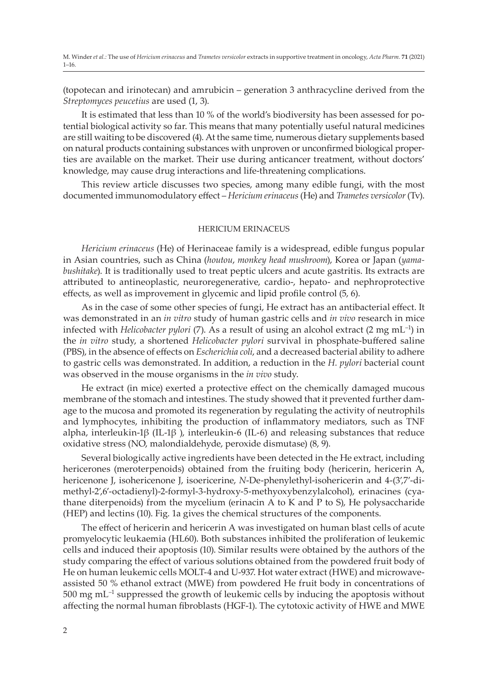(topotecan and irinotecan) and amrubicin – generation 3 anthracycline derived from the *Streptomyces peucetius* are used (1, 3).

It is estimated that less than 10 % of the world's biodiversity has been assessed for potential biological activity so far. This means that many potentially useful natural medicines are still waiting to be discovered (4). At the same time, numerous dietary supplements based on natural products containing substances with unproven or unconfirmed biological properties are available on the market. Their use during anticancer treatment, without doctors' knowledge, may cause drug interactions and life-threatening complications.

This review article discusses two species, among many edible fungi, with the most documented immunomodulatory effect – *Hericium erinaceus* (He) and *Trametes versicolor* (Tv).

# HERICIUM ERINACEUS

*Hericium erinaceus* (He) of Herinaceae family is a widespread, edible fungus popular in Asian countries, such as China (*houtou*, *monkey head mushroom*), Korea or Japan (*yamabushitake*). It is traditionally used to treat peptic ulcers and acute gastritis. Its extracts are attributed to antineoplastic, neuroregenerative, cardio-, hepato- and nephroprotective effects, as well as improvement in glycemic and lipid profile control (5, 6).

As in the case of some other species of fungi, He extract has an antibacterial effect. It was demonstrated in an *in vitro* study of human gastric cells and *in vivo* research in mice infected with *Helicobacter pylori* (7). As a result of using an alcohol extract (2 mg mL<sup>-1</sup>) in the *in vitro* study, a shortened *Helicobacter pylori* survival in phosphate-buffered saline (PBS), in the absence of effects on *Escherichia coli*, and a decreased bacterial ability to adhere to gastric cells was demonstrated. In addition, a reduction in the *H. pylori* bacterial count was observed in the mouse organisms in the *in vivo* study.

He extract (in mice) exerted a protective effect on the chemically damaged mucous membrane of the stomach and intestines. The study showed that it prevented further damage to the mucosa and promoted its regeneration by regulating the activity of neutrophils and lymphocytes, inhibiting the production of inflammatory mediators, such as TNF alpha, interleukin-1β (IL-1β ), interleukin-6 (IL-6) and releasing substances that reduce oxidative stress (NO, malondialdehyde, peroxide dismutase) (8, 9).

Several biologically active ingredients have been detected in the He extract, including hericerones (meroterpenoids) obtained from the fruiting body (hericerin, hericerin A, hericenone J, isohericenone J, isoericerine, *N*-De-phenylethyl-isohericerin and 4-(3',7'-dimethyl-2',6'-octadienyl)-2-formyl-3-hydroxy-5-methyoxybenzylalcohol), erinacines (cyathane diterpenoids) from the mycelium (erinacin A to K and P to S), He polysaccharide (HEP) and lectins (10). Fig. 1a gives the chemical structures of the components.

The effect of hericerin and hericerin A was investigated on human blast cells of acute promyelocytic leukaemia (HL60). Both substances inhibited the proliferation of leukemic cells and induced their apoptosis (10). Similar results were obtained by the authors of the study comparing the effect of various solutions obtained from the powdered fruit body of He on human leukemic cells MOLT-4 and U-937. Hot water extract (HWE) and microwaveassisted 50 % ethanol extract (MWE) from powdered He fruit body in concentrations of  $500 \text{ mg } \text{mL}^{-1}$  suppressed the growth of leukemic cells by inducing the apoptosis without affecting the normal human fibroblasts (HGF-1). The cytotoxic activity of HWE and MWE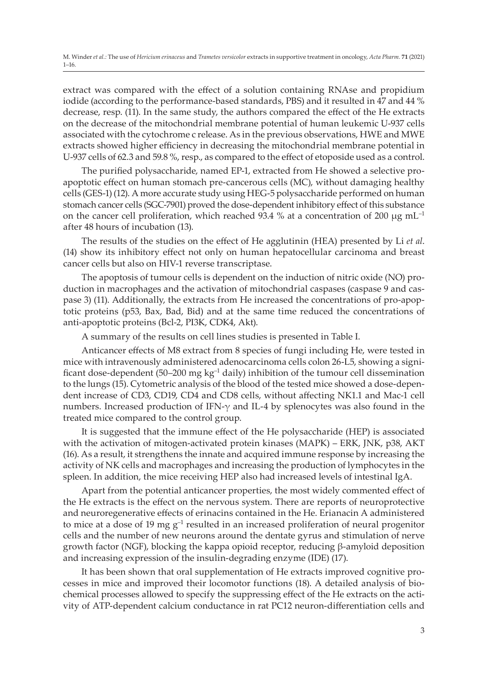extract was compared with the effect of a solution containing RNAse and propidium iodide (according to the performance-based standards, PBS) and it resulted in 47 and 44 % decrease, resp. (11). In the same study, the authors compared the effect of the He extracts on the decrease of the mitochondrial membrane potential of human leukemic U-937 cells associated with the cytochrome c release. As in the previous observations, HWE and MWE extracts showed higher efficiency in decreasing the mitochondrial membrane potential in U-937 cells of 62.3 and 59.8 %, resp., as compared to the effect of etoposide used as a control.

The purified polysaccharide, named EP-1, extracted from He showed a selective proapoptotic effect on human stomach pre-cancerous cells (MC), without damaging healthy cells (GES-1) (12). A more accurate study using HEG-5 polysaccharide performed on human stomach cancer cells (SGC-7901) proved the dose-dependent inhibitory effect of this substance on the cancer cell proliferation, which reached 93.4 % at a concentration of 200  $\mu$ g mL<sup>-1</sup> after 48 hours of incubation (13).

The results of the studies on the effect of He agglutinin (HEA) presented by Li *et al*. (14) show its inhibitory effect not only on human hepatocellular carcinoma and breast cancer cells but also on HIV-1 reverse transcriptase.

The apoptosis of tumour cells is dependent on the induction of nitric oxide (NO) production in macrophages and the activation of mitochondrial caspases (caspase 9 and caspase 3) (11). Additionally, the extracts from He increased the concentrations of pro-apoptotic proteins (p53, Bax, Bad, Bid) and at the same time reduced the concentrations of anti-apoptotic proteins (Bcl-2, PI3K, CDK4, Akt).

A summary of the results on cell lines studies is presented in Table I.

Anticancer effects of M8 extract from 8 species of fungi including He, were tested in mice with intravenously administered adenocarcinoma cells colon 26-L5, showing a significant dose-dependent (50–200 mg  $kg^{-1}$  daily) inhibition of the tumour cell dissemination to the lungs (15). Cytometric analysis of the blood of the tested mice showed a dose-dependent increase of CD3, CD19, CD4 and CD8 cells, without affecting NK1.1 and Mac-1 cell numbers. Increased production of IFN- $\gamma$  and IL-4 by splenocytes was also found in the treated mice compared to the control group.

It is suggested that the immune effect of the He polysaccharide (HEP) is associated with the activation of mitogen-activated protein kinases (MAPK) – ERK, JNK, p38, AKT (16). As a result, it strengthens the innate and acquired immune response by increasing the activity of NK cells and macrophages and increasing the production of lymphocytes in the spleen. In addition, the mice receiving HEP also had increased levels of intestinal IgA.

Apart from the potential anticancer properties, the most widely commented effect of the He extracts is the effect on the nervous system. There are reports of neuroprotective and neuroregenerative effects of erinacins contained in the He. Erianacin A administered to mice at a dose of 19 mg  $g^{-1}$  resulted in an increased proliferation of neural progenitor cells and the number of new neurons around the dentate gyrus and stimulation of nerve growth factor (NGF), blocking the kappa opioid receptor, reducing β-amyloid deposition and increasing expression of the insulin-degrading enzyme (IDE) (17).

It has been shown that oral supplementation of He extracts improved cognitive processes in mice and improved their locomotor functions (18). A detailed analysis of biochemical processes allowed to specify the suppressing effect of the He extracts on the activity of ATP-dependent calcium conductance in rat PC12 neuron-differentiation cells and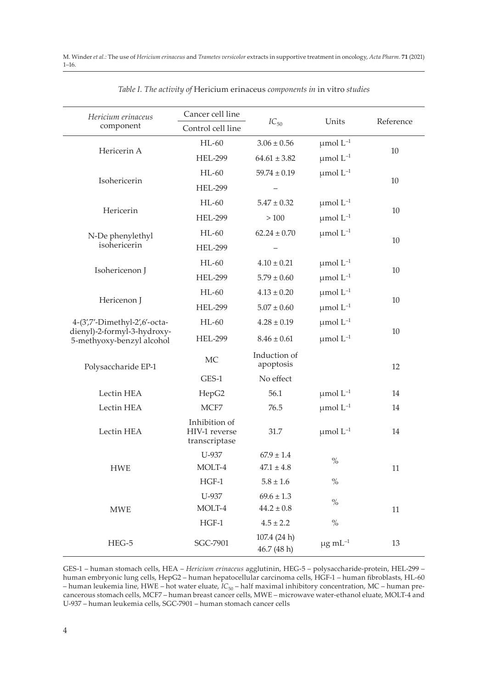| Hericium erinaceus<br>component                          | Cancer cell line<br>Control cell line           | $IC_{50}$                   | Units                    | Reference |
|----------------------------------------------------------|-------------------------------------------------|-----------------------------|--------------------------|-----------|
|                                                          | $HL-60$                                         | $3.06 \pm 0.56$             | $\mu$ mol $L^{-1}$       |           |
| Hericerin A                                              | <b>HEL-299</b>                                  | $64.61 \pm 3.82$            | $\mu$ mol $L^{-1}$       | 10        |
|                                                          | $HL-60$                                         | $59.74 \pm 0.19$            | $\mu$ mol $L^{-1}$       |           |
| Isohericerin                                             | <b>HEL-299</b>                                  |                             |                          | 10        |
|                                                          | $HL-60$                                         | $5.47 \pm 0.32$             | $\mu$ mol $L^{-1}$       |           |
| Hericerin                                                | <b>HEL-299</b>                                  | >100                        | $\mu$ mol $L^{-1}$       | 10        |
| N-De phenylethyl                                         | $HL-60$                                         | $62.24 \pm 0.70$            | $\mu$ mol $L^{-1}$       |           |
| isohericerin                                             | <b>HEL-299</b>                                  |                             |                          | 10        |
|                                                          | $HL-60$                                         | $4.10 \pm 0.21$             | $\mu$ mol $L^{-1}$       |           |
| Isohericenon J                                           | <b>HEL-299</b>                                  | $5.79 \pm 0.60$             | $\mu$ mol $L^{-1}$       | 10        |
|                                                          | $HL-60$                                         | $4.13 \pm 0.20$             | $\mu$ mol $L^{-1}$       |           |
| Hericenon J                                              | <b>HEL-299</b>                                  | $5.07 \pm 0.60$             | $\mu$ mol $L^{-1}$       | 10        |
| 4-(3',7'-Dimethyl-2',6'-octa-                            | $HL-60$                                         | $4.28 \pm 0.19$             | $\mu$ mol $L^{-1}$       |           |
| dienyl)-2-formyl-3-hydroxy-<br>5-methyoxy-benzyl alcohol | <b>HEL-299</b><br>$8.46 \pm 0.61$               |                             | $\mu$ mol $L^{-1}$       | 10        |
| Polysaccharide EP-1                                      | <b>MC</b>                                       | Induction of<br>apoptosis   |                          | 12        |
|                                                          | GES-1                                           | No effect                   |                          |           |
| Lectin HEA                                               | HepG2                                           | 56.1                        | $\mu$ mol $L^{-1}$       | 14        |
| Lectin HEA                                               | MCF7                                            | 76.5                        | $\mu$ mol $L^{-1}$       | 14        |
| Lectin HEA                                               | Inhibition of<br>HIV-1 reverse<br>transcriptase | 31.7                        | $\mu$ mol $L^{-1}$       | 14        |
|                                                          | U-937                                           | $67.9 \pm 1.4$              | $\%$                     |           |
| <b>HWE</b>                                               | MOLT-4                                          | $47.1 \pm 4.8$              |                          | 11        |
|                                                          | $HGF-1$                                         | $5.8 \pm 1.6$               | $\%$                     |           |
|                                                          | U-937                                           | $69.6 \pm 1.3$              | $\%$                     |           |
| <b>MWE</b>                                               | MOLT-4                                          | $44.2 \pm 0.8$              | $\%$                     | 11        |
|                                                          | $HGF-1$                                         | $4.5 \pm 2.2$               |                          |           |
| $HEG-5$                                                  | SGC-7901                                        | 107.4 (24 h)<br>46.7 (48 h) | $\mu$ g mL <sup>-1</sup> | 13        |

|  |  | Table I. The activity of Hericium erinaceus components in in vitro studies |  |  |
|--|--|----------------------------------------------------------------------------|--|--|
|  |  |                                                                            |  |  |

GES-1 – human stomach cells, HEA – *Hericium erinaceus* agglutinin, HEG-5 – polysaccharide-protein, HEL-299 – human embryonic lung cells, HepG2 – human hepatocellular carcinoma cells, HGF-1 – human fibroblasts, HL-60 – human leukemia line, HWE – hot water eluate, *IC*50 – half maximal inhibitory concentration, MC – human precancerous stomach cells, MCF7 – human breast cancer cells, MWE – microwave water-ethanol eluate, MOLT-4 and U-937 – human leukemia cells, SGC-7901 – human stomach cancer cells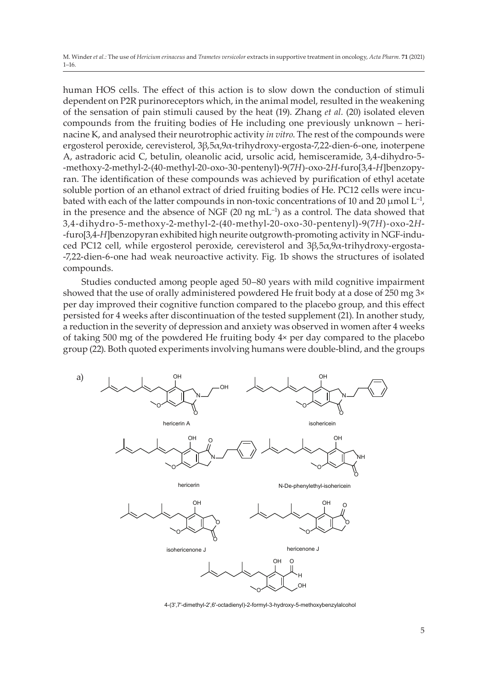human HOS cells. The effect of this action is to slow down the conduction of stimuli dependent on P2R purinoreceptors which, in the animal model, resulted in the weakening of the sensation of pain stimuli caused by the heat (19). Zhang *et al.* (20) isolated eleven compounds from the fruiting bodies of He including one previously unknown – herinacine K, and analysed their neurotrophic activity *in vitro*. The rest of the compounds were ergosterol peroxide, cerevisterol, 3β,5α,9α-trihydroxy-ergosta-7,22-dien-6-one, inoterpene A, astradoric acid C, betulin, oleanolic acid, ursolic acid, hemisceramide, 3,4-dihydro-5- -methoxy-2-methyl-2-(40-methyl-20-oxo-30-pentenyl)-9(7*H*)-oxo-2*H*-furo[3,4-*H*]benzopyran. The identification of these compounds was achieved by purification of ethyl acetate soluble portion of an ethanol extract of dried fruiting bodies of He. PC12 cells were incubated with each of the latter compounds in non-toxic concentrations of 10 and 20  $\mu$ mol L<sup>-1</sup>, in the presence and the absence of NGF (20 ng  $mL^{-1}$ ) as a control. The data showed that 3,4-dihydro-5-methoxy-2-methyl-2-(40-methyl-20-oxo-30-pentenyl)-9(7*H*)-oxo-2*H*- -furo[3,4-*H*]benzopyran exhibited high neurite outgrowth-promoting activity in NGF-induced PC12 cell, while ergosterol peroxide, cerevisterol and 3β,5α,9α-trihydroxy-ergosta- -7,22-dien-6-one had weak neuroactive activity. Fig. 1b shows the structures of isolated compounds.

Studies conducted among people aged 50–80 years with mild cognitive impairment showed that the use of orally administered powdered He fruit body at a dose of 250 mg  $3\times$ per day improved their cognitive function compared to the placebo group, and this effect persisted for 4 weeks after discontinuation of the tested supplement (21). In another study, a reduction in the severity of depression and anxiety was observed in women after 4 weeks of taking 500 mg of the powdered He fruiting body 4× per day compared to the placebo group (22). Both quoted experiments involving humans were double-blind, and the groups



4-(3',7'-dimethyl-2',6'-octadienyl)-2-formyl-3-hydroxy-5-methoxybenzylalcohol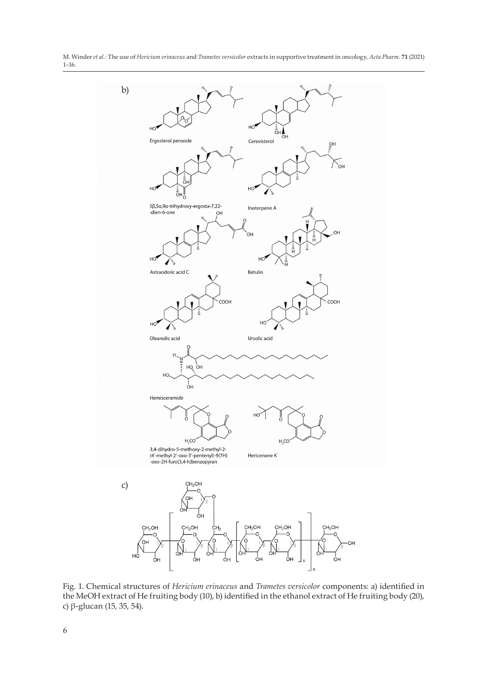M. Winder *et al.:* The use of *Hericium erinaceus* and *Trametes versicolor* extracts in supportive treatment in oncology, *Acta Pharm.* **71** (2021) 1–16.



Fig. 1. Chemical structures of *Hericium erinaceus* and *Trametes versicolor* components: a) identified in the MeOH extract of He fruiting body (10), b) identified in the ethanol extract of He fruiting body (20), c) β-glucan (15, 35, 54).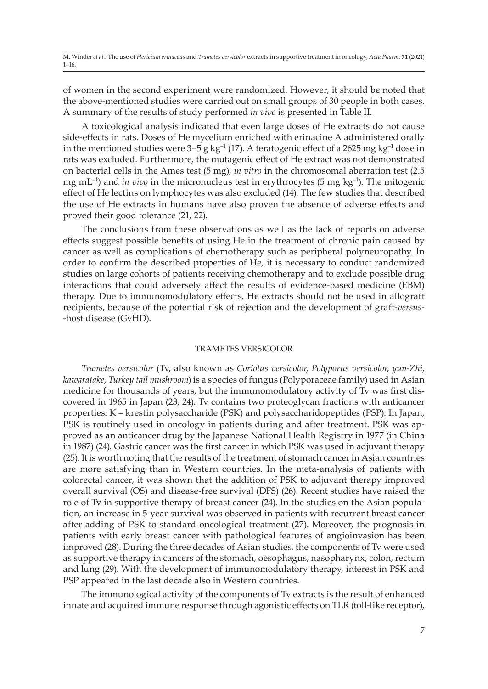of women in the second experiment were randomized. However, it should be noted that the above-mentioned studies were carried out on small groups of 30 people in both cases. A summary of the results of study performed *in vivo* is presented in Table II.

A toxicological analysis indicated that even large doses of He extracts do not cause side-effects in rats. Doses of He mycelium enriched with erinacine A administered orally in the mentioned studies were  $3-5$  g kg<sup>-1</sup> (17). A teratogenic effect of a 2625 mg kg<sup>-1</sup> dose in rats was excluded. Furthermore, the mutagenic effect of He extract was not demonstrated on bacterial cells in the Ames test (5 mg), *in vitro* in the chromosomal aberration test (2.5 mg mL–1) and *in vivo* in the micronucleus test in erythrocytes (5 mg kg–1). The mitogenic effect of He lectins on lymphocytes was also excluded (14). The few studies that described the use of He extracts in humans have also proven the absence of adverse effects and proved their good tolerance (21, 22).

The conclusions from these observations as well as the lack of reports on adverse effects suggest possible benefits of using He in the treatment of chronic pain caused by cancer as well as complications of chemotherapy such as peripheral polyneuropathy. In order to confirm the described properties of He, it is necessary to conduct randomized studies on large cohorts of patients receiving chemotherapy and to exclude possible drug interactions that could adversely affect the results of evidence-based medicine (EBM) therapy. Due to immunomodulatory effects, He extracts should not be used in allograft recipients, because of the potential risk of rejection and the development of graft-*versus*- -host disease (GvHD).

## TRAMETES VERSICOLOR

*Trametes versicolor* (Tv, also known as *Coriolus versicolor*, *Polyporus versicolor*, *yun*-*Zhi*, *kawaratake*, *Turkey tail mushroom*) is a species of fungus (Polyporaceae family) used in Asian medicine for thousands of years, but the immunomodulatory activity of Tv was first discovered in 1965 in Japan (23, 24). Tv contains two proteoglycan fractions with anticancer properties: K – krestin polysaccharide (PSK) and polysaccharidopeptides (PSP). In Japan, PSK is routinely used in oncology in patients during and after treatment. PSK was approved as an anticancer drug by the Japanese National Health Registry in 1977 (in China in 1987) (24). Gastric cancer was the first cancer in which PSK was used in adjuvant therapy (25). It is worth noting that the results of the treatment of stomach cancer in Asian countries are more satisfying than in Western countries. In the meta-analysis of patients with colorectal cancer, it was shown that the addition of PSK to adjuvant therapy improved overall survival (OS) and disease-free survival (DFS) (26). Recent studies have raised the role of Tv in supportive therapy of breast cancer (24). In the studies on the Asian population, an increase in 5-year survival was observed in patients with recurrent breast cancer after adding of PSK to standard oncological treatment (27). Moreover, the prognosis in patients with early breast cancer with pathological features of angioinvasion has been improved (28). During the three decades of Asian studies, the components of Tv were used as supportive therapy in cancers of the stomach, oesophagus, nasopharynx, colon, rectum and lung (29). With the development of immunomodulatory therapy, interest in PSK and PSP appeared in the last decade also in Western countries.

The immunological activity of the components of Tv extracts is the result of enhanced innate and acquired immune response through agonistic effects on TLR (toll-like receptor),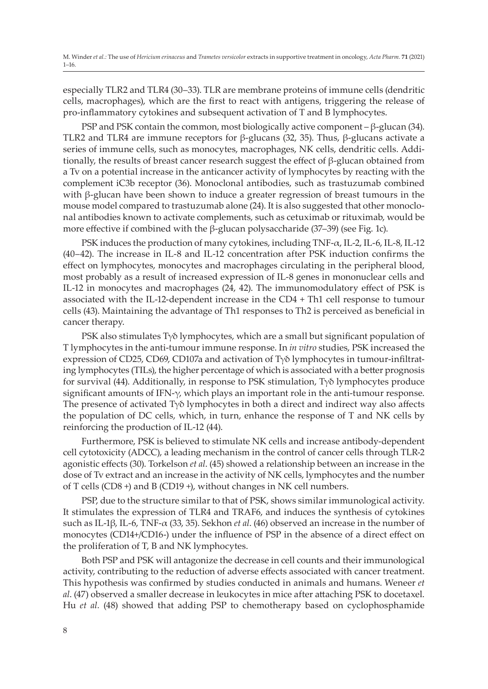especially TLR2 and TLR4 (30–33). TLR are membrane proteins of immune cells (dendritic cells, macrophages), which are the first to react with antigens, triggering the release of pro-inflammatory cytokines and subsequent activation of T and B lymphocytes.

PSP and PSK contain the common, most biologically active component – β-glucan (34). TLR2 and TLR4 are immune receptors for β-glucans (32, 35). Thus, β-glucans activate a series of immune cells, such as monocytes, macrophages, NK cells, dendritic cells. Additionally, the results of breast cancer research suggest the effect of β-glucan obtained from a Tv on a potential increase in the anticancer activity of lymphocytes by reacting with the complement iC3b receptor (36). Monoclonal antibodies, such as trastuzumab combined with β-glucan have been shown to induce a greater regression of breast tumours in the mouse model compared to trastuzumab alone (24). It is also suggested that other monoclonal antibodies known to activate complements, such as cetuximab or rituximab, would be more effective if combined with the β-glucan polysaccharide (37–39) (see Fig. 1c).

PSK induces the production of many cytokines, including TNF-α, IL-2, IL-6, IL-8, IL-12 (40–42). The increase in IL-8 and IL-12 concentration after PSK induction confirms the effect on lymphocytes, monocytes and macrophages circulating in the peripheral blood, most probably as a result of increased expression of IL-8 genes in mononuclear cells and IL-12 in monocytes and macrophages (24, 42). The immunomodulatory effect of PSK is associated with the IL-12-dependent increase in the CD4 + Th1 cell response to tumour cells (43). Maintaining the advantage of Th1 responses to Th2 is perceived as beneficial in cancer therapy.

PSK also stimulates Tγδ lymphocytes, which are a small but significant population of T lymphocytes in the anti-tumour immune response. In *in vitro* studies, PSK increased the expression of CD25, CD69, CD107a and activation of Tγδ lymphocytes in tumour-infiltrating lymphocytes (TILs), the higher percentage of which is associated with a better prognosis for survival (44). Additionally, in response to PSK stimulation, Tγδ lymphocytes produce significant amounts of IFN- $\gamma$ , which plays an important role in the anti-tumour response. The presence of activated Tγδ lymphocytes in both a direct and indirect way also affects the population of DC cells, which, in turn, enhance the response of T and NK cells by reinforcing the production of IL-12 (44).

Furthermore, PSK is believed to stimulate NK cells and increase antibody-dependent cell cytotoxicity (ADCC), a leading mechanism in the control of cancer cells through TLR-2 agonistic effects (30). Torkelson *et al*. (45) showed a relationship between an increase in the dose of Tv extract and an increase in the activity of NK cells, lymphocytes and the number of T cells (CD8 +) and B (CD19 +), without changes in NK cell numbers.

PSP, due to the structure similar to that of PSK, shows similar immunological activity. It stimulates the expression of TLR4 and TRAF6, and induces the synthesis of cytokines such as IL-1β, IL-6, TNF-α (33, 35). Sekhon *et al*. (46) observed an increase in the number of monocytes (CD14+/CD16-) under the influence of PSP in the absence of a direct effect on the proliferation of T, B and NK lymphocytes.

Both PSP and PSK will antagonize the decrease in cell counts and their immunological activity, contributing to the reduction of adverse effects associated with cancer treatment. This hypothesis was confirmed by studies conducted in animals and humans. Weneer *et al*. (47) observed a smaller decrease in leukocytes in mice after attaching PSK to docetaxel. Hu *et al.* (48) showed that adding PSP to chemotherapy based on cyclophosphamide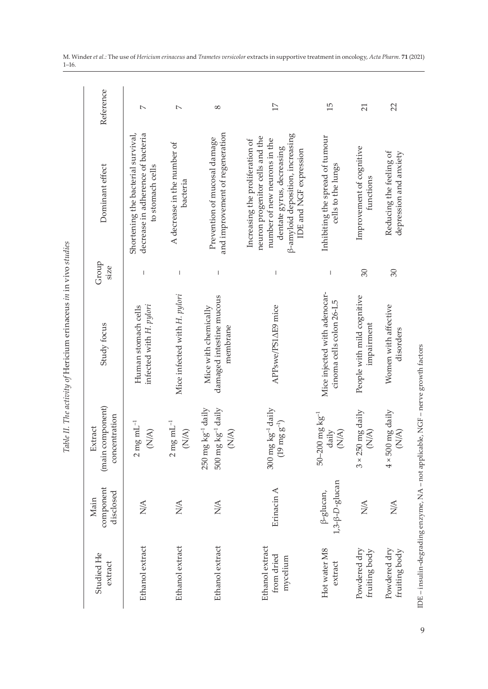|   | <b>CANAL CANALITY</b> |
|---|-----------------------|
|   | l<br>۱                |
|   |                       |
|   | ひゃっりり りょうこう りらっこう     |
|   |                       |
|   |                       |
|   | l                     |
| i | l                     |
| i |                       |

| Studied He<br>extract                     | component<br>disclosed<br>Main            | (main component)<br>concentration<br>Extract                                                     | Study focus                                                  | Group<br>size            | Dominant effect                                                                                                                                                                                       | Reference       |
|-------------------------------------------|-------------------------------------------|--------------------------------------------------------------------------------------------------|--------------------------------------------------------------|--------------------------|-------------------------------------------------------------------------------------------------------------------------------------------------------------------------------------------------------|-----------------|
| Ethanol extract                           | $\frac{\triangleleft}{\triangle}$         | $2 \text{ mg} \text{ mL}^{-1}$<br>$(\mathbb{N}/\mathbb{A})$                                      | infected with H. pylori<br>Human stomach cells               | I                        | decrease in adherence of bacteria<br>Shortening the bacterial survival,<br>to stomach cells                                                                                                           | $\sim$          |
| Ethanol extract                           | $\frac{\mathbf{A}}{N}$                    | $2 \text{ mg} \text{ mL}^{-1}$<br>$(\mathbb{N}/\mathbb{A})$                                      | Mice infected with H. pylori                                 | $\overline{1}$           | A decrease in the number of<br>bacteria                                                                                                                                                               | $\sim$          |
| Ethanol extract                           | $\frac{\triangleleft}{\triangle}$         | $500~{\rm mg}~{\rm kg}^{-1}$ daily<br>250 mg kg <sup>-1</sup> daily<br>$(\mathbb{N}/\mathbb{A})$ | damaged intestine mucous<br>Mice with chemically<br>membrane | $\overline{1}$           | and improvement of regeneration<br>Prevention of mucosal damage                                                                                                                                       | $^{\circ}$      |
| Ethanol extract<br>from dried<br>mycelium | Erinacin A                                | $300 \text{ mg kg}^{-1}$ daily<br>$(19 \text{ mg g}^{-1})$                                       | APPswe/PS1AE9 mice                                           | $\overline{\phantom{a}}$ | <b>B-amyloid deposition</b> , increasing<br>neuron progenitor cells and the<br>Increasing the proliferation of<br>number of new neurons in the<br>dentate gyrus, decreasing<br>IDE and NGF expression | $\Box$          |
| Hot water M8<br>extract                   | $1,3-\beta-D-g$ lucan<br>$\beta$ -glucan, | $50 - 200$ mg $\text{kg}^{-1}$<br>daily<br>$(\widetilde{N/A})$                                   | Mice injected with adenocar-<br>cinoma cells colon 26-L5     | $\overline{1}$           | Inhibiting the spread of tumour<br>cells to the lungs                                                                                                                                                 | 15              |
| Powdered dry<br>fruiting body             | $\frac{\triangleleft}{\triangle}$         | $3 \times 250$ mg daily<br>$(\mathbb{N}/\mathbb{A})$                                             | People with mild cognitive<br>impairment                     | 30                       | Improvement of cognitive<br>functions                                                                                                                                                                 | $\overline{21}$ |
| Powdered dry<br>fruiting body             | $\frac{\triangleleft}{\triangle}$         | $4 \times 500$ mg daily<br>$(\mathbb{A}/\mathbb{A})$                                             | Women with affective<br>disorders                            | 30                       | Reducing the feeling of<br>depression and anxiety                                                                                                                                                     | $\mathfrak{A}$  |
|                                           |                                           | IDE - insulin-degrading enzyme, NA - not applicable, NGF - nerve growth factors                  |                                                              |                          |                                                                                                                                                                                                       |                 |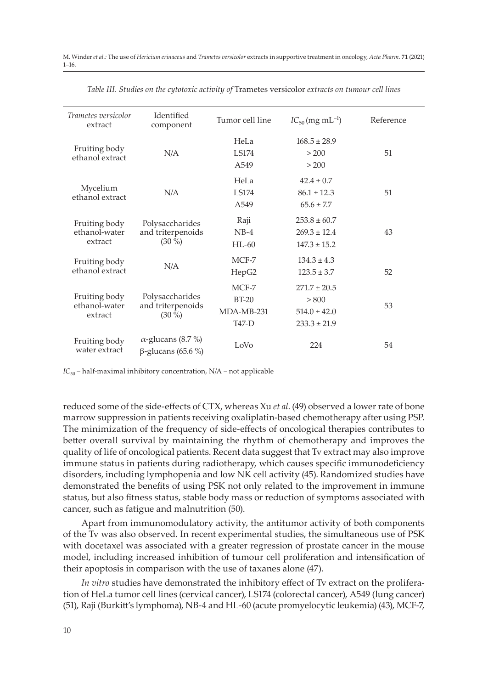| <i>Trametes versicolor</i><br>extract     | Identified<br>component                                | Tumor cell line                                      | $IC_{50}$ (mg mL <sup>-1</sup> )                                  | Reference |
|-------------------------------------------|--------------------------------------------------------|------------------------------------------------------|-------------------------------------------------------------------|-----------|
| Fruiting body<br>ethanol extract          | N/A                                                    | HeLa<br>LS174<br>A <sub>549</sub>                    | $168.5 \pm 28.9$<br>> 200<br>> 200                                | 51        |
| Mycelium<br>ethanol extract               | N/A                                                    | HeLa<br><b>LS174</b><br>A <sub>549</sub>             | $42.4 \pm 0.7$<br>$86.1 \pm 12.3$<br>$65.6 \pm 7.7$               | 51        |
| Fruiting body<br>ethanol-water<br>extract | Polysaccharides<br>and triterpenoids<br>$(30\%)$       | Raji<br>$NB-4$<br>$HI - 60$                          | $253.8 \pm 60.7$<br>$269.3 \pm 12.4$<br>$147.3 \pm 15.2$          | 43        |
| Fruiting body<br>ethanol extract          | N/A                                                    | $MCF-7$<br>HepG2                                     | $134.3 \pm 4.3$<br>$123.5 \pm 3.7$                                | 52        |
| Fruiting body<br>ethanol-water<br>extract | Polysaccharides<br>and triterpenoids<br>$(30\%)$       | MCF-7<br>$BT-20$<br>MDA-MB-231<br>T <sub>47</sub> -D | $271.7 \pm 20.5$<br>> 800<br>$514.0 \pm 42.0$<br>$233.3 \pm 21.9$ | 53        |
| Fruiting body<br>water extract            | $\alpha$ -glucans (8.7 %)<br>$\beta$ -glucans (65.6 %) | LoVo                                                 | 224                                                               | 54        |

*Table III. Studies on the cytotoxic activity of* Trametes versicolor *extracts on tumour cell lines*

 $IC_{50}$  – half-maximal inhibitory concentration,  $N/A$  – not applicable

reduced some of the side-effects of CTX, whereas Xu *et al*. (49) observed a lower rate of bone marrow suppression in patients receiving oxaliplatin-based chemotherapy after using PSP. The minimization of the frequency of side-effects of oncological therapies contributes to better overall survival by maintaining the rhythm of chemotherapy and improves the quality of life of oncological patients. Recent data suggest that Tv extract may also improve immune status in patients during radiotherapy, which causes specific immunodeficiency disorders, including lymphopenia and low NK cell activity (45). Randomized studies have demonstrated the benefits of using PSK not only related to the improvement in immune status, but also fitness status, stable body mass or reduction of symptoms associated with cancer, such as fatigue and malnutrition (50).

Apart from immunomodulatory activity, the antitumor activity of both components of the Tv was also observed. In recent experimental studies, the simultaneous use of PSK with docetaxel was associated with a greater regression of prostate cancer in the mouse model, including increased inhibition of tumour cell proliferation and intensification of their apoptosis in comparison with the use of taxanes alone (47).

*In vitro* studies have demonstrated the inhibitory effect of Tv extract on the proliferation of HeLa tumor cell lines (cervical cancer), LS174 (colorectal cancer), A549 (lung cancer) (51), Raji (Burkitt's lymphoma), NB-4 and HL-60 (acute promyelocytic leukemia) (43), MCF-7,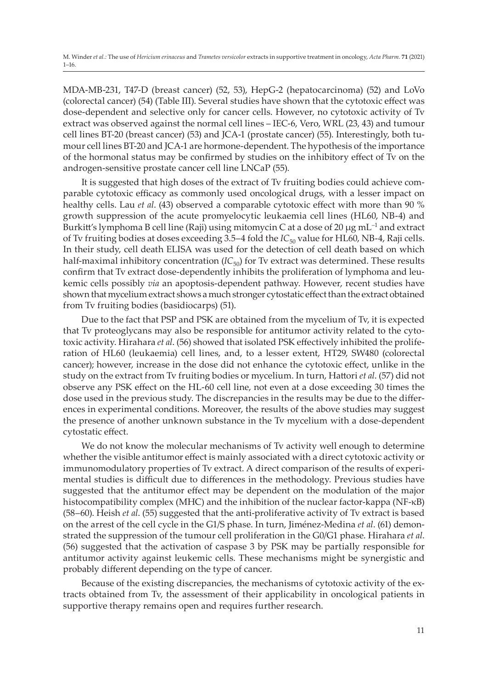MDA-MB-231, T47-D (breast cancer) (52, 53), HepG-2 (hepatocarcinoma) (52) and LoVo (colorectal cancer) (54) (Table III). Several studies have shown that the cytotoxic effect was dose-dependent and selective only for cancer cells. However, no cytotoxic activity of Tv extract was observed against the normal cell lines – IEC-6, Vero, WRL (23, 43) and tumour cell lines BT-20 (breast cancer) (53) and JCA-1 (prostate cancer) (55). Interestingly, both tumour cell lines BT-20 and JCA-1 are hormone-dependent. The hypothesis of the importance of the hormonal status may be confirmed by studies on the inhibitory effect of Tv on the androgen-sensitive prostate cancer cell line LNCaP (55).

It is suggested that high doses of the extract of Tv fruiting bodies could achieve comparable cytotoxic efficacy as commonly used oncological drugs, with a lesser impact on healthy cells. Lau *et al*. (43) observed a comparable cytotoxic effect with more than 90 % growth suppression of the acute promyelocytic leukaemia cell lines (HL60, NB-4) and Burkitt's lymphoma B cell line (Raji) using mitomycin C at a dose of 20  $\mu$ g mL<sup>-1</sup> and extract of Tv fruiting bodies at doses exceeding 3.5–4 fold the *IC*<sub>50</sub> value for HL60, NB-4, Raji cells. In their study, cell death ELISA was used for the detection of cell death based on which half-maximal inhibitory concentration (*IC*<sub>50</sub>) for Tv extract was determined. These results confirm that Tv extract dose-dependently inhibits the proliferation of lymphoma and leukemic cells possibly *via* an apoptosis-dependent pathway. However, recent studies have shown that mycelium extract shows a much stronger cytostatic effect than the extract obtained from Tv fruiting bodies (basidiocarps) (51).

Due to the fact that PSP and PSK are obtained from the mycelium of Tv, it is expected that Tv proteoglycans may also be responsible for antitumor activity related to the cytotoxic activity. Hirahara *et al*. (56) showed that isolated PSK effectively inhibited the proliferation of HL60 (leukaemia) cell lines, and, to a lesser extent, HT29, SW480 (colorectal cancer); however, increase in the dose did not enhance the cytotoxic effect, unlike in the study on the extract from Tv fruiting bodies or mycelium. In turn, Hattori *et al*. (57) did not observe any PSK effect on the HL-60 cell line, not even at a dose exceeding 30 times the dose used in the previous study. The discrepancies in the results may be due to the differences in experimental conditions. Moreover, the results of the above studies may suggest the presence of another unknown substance in the Tv mycelium with a dose-dependent cytostatic effect.

We do not know the molecular mechanisms of Tv activity well enough to determine whether the visible antitumor effect is mainly associated with a direct cytotoxic activity or immunomodulatory properties of Tv extract. A direct comparison of the results of experimental studies is difficult due to differences in the methodology. Previous studies have suggested that the antitumor effect may be dependent on the modulation of the major histocompatibility complex (MHC) and the inhibition of the nuclear factor-kappa (NF-κB) (58–60). Heish *et al*. (55) suggested that the anti-proliferative activity of Tv extract is based on the arrest of the cell cycle in the G1/S phase. In turn, Jiménez-Medina *et al*. (61) demonstrated the suppression of the tumour cell proliferation in the G0/G1 phase. Hirahara *et al*. (56) suggested that the activation of caspase 3 by PSK may be partially responsible for antitumor activity against leukemic cells. These mechanisms might be synergistic and probably different depending on the type of cancer.

Because of the existing discrepancies, the mechanisms of cytotoxic activity of the extracts obtained from Tv, the assessment of their applicability in oncological patients in supportive therapy remains open and requires further research.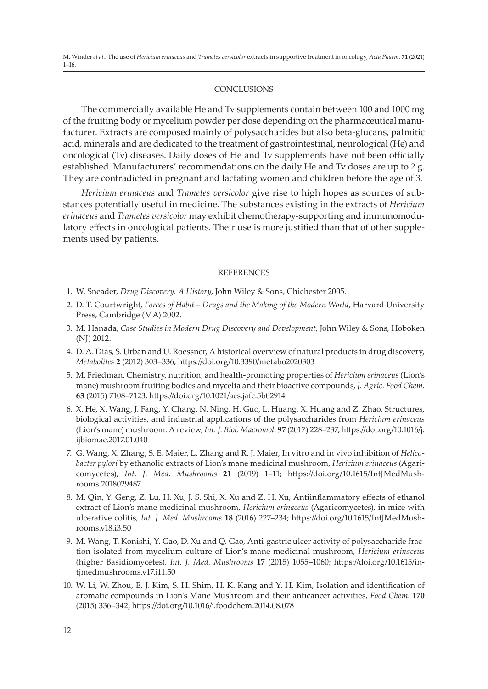### **CONCLUSIONS**

The commercially available He and Tv supplements contain between 100 and 1000 mg of the fruiting body or mycelium powder per dose depending on the pharmaceutical manufacturer. Extracts are composed mainly of polysaccharides but also beta-glucans, palmitic acid, minerals and are dedicated to the treatment of gastrointestinal, neurological (He) and oncological (Tv) diseases. Daily doses of He and Tv supplements have not been officially established. Manufacturers' recommendations on the daily He and Tv doses are up to 2 g. They are contradicted in pregnant and lactating women and children before the age of 3.

*Hericium erinaceus* and *Trametes versicolor* give rise to high hopes as sources of substances potentially useful in medicine. The substances existing in the extracts of *Hericium erinaceus* and *Trametes versicolor* may exhibit chemotherapy-supporting and immunomodulatory effects in oncological patients. Their use is more justified than that of other supplements used by patients.

## **REFERENCES**

- 1. W. Sneader, *Drug Discovery. A History*, John Wiley & Sons, Chichester 2005.
- 2. D. T. Courtwright, *Forces of Habit Drugs and the Making of the Modern World*, Harvard University Press, Cambridge (MA) 2002.
- 3. M. Hanada, *Case Studies in Modern Drug Discovery and Development*, John Wiley & Sons, Hoboken (NJ) 2012.
- 4. D. A. Dias, S. Urban and U. Roessner, A historical overview of natural products in drug discovery, *Metabolites* **2** (2012) 303–336; https://doi.org/10.3390/metabo2020303
- 5. M. Friedman, Chemistry, nutrition, and health-promoting properties of *Hericium erinaceus* (Lion's mane) mushroom fruiting bodies and mycelia and their bioactive compounds, *J. Agric. Food Chem*. **63** (2015) 7108–7123; https://doi.org/10.1021/acs.jafc.5b02914
- 6. X. He, X. Wang, J. Fang, Y. Chang, N. Ning, H. Guo, L. Huang, X. Huang and Z. Zhao, Structures, biological activities, and industrial applications of the polysaccharides from *Hericium erinaceus* (Lion's mane) mushroom: A review, *Int. J. Biol. Macromol*. **97** (2017) 228–237; https://doi.org/10.1016/j. ijbiomac.2017.01.040
- 7. G. Wang, X. Zhang, S. E. Maier, L. Zhang and R. J. Maier, In vitro and in vivo inhibition of *Helicobacter pylori* by ethanolic extracts of Lion's mane medicinal mushroom, *Hericium erinaceus* (Agaricomycetes), *Int. J. Med. Mushrooms* **21** (2019) 1–11; https://doi.org/10.1615/IntJMedMushrooms.2018029487
- 8. M. Qin, Y. Geng, Z. Lu, H. Xu, J. S. Shi, X. Xu and Z. H. Xu, Antiinflammatory effects of ethanol extract of Lion's mane medicinal mushroom, *Hericium erinaceus* (Agaricomycetes), in mice with ulcerative colitis, *Int. J. Med. Mushrooms* **18** (2016) 227–234; https://doi.org/10.1615/IntJMedMushrooms.v18.i3.50
- 9. M. Wang, T. Konishi, Y. Gao, D. Xu and Q. Gao, Anti-gastric ulcer activity of polysaccharide fraction isolated from mycelium culture of Lion's mane medicinal mushroom, *Hericium erinaceus* (higher Basidiomycetes), *Int. J. Med. Mushrooms* **17** (2015) 1055–1060; https://doi.org/10.1615/intjmedmushrooms.v17.i11.50
- 10. W. Li, W. Zhou, E. J. Kim, S. H. Shim, H. K. Kang and Y. H. Kim, Isolation and identification of aromatic compounds in Lion's Mane Mushroom and their anticancer activities, *Food Chem*. **170** (2015) 336–342; https://doi.org/10.1016/j.foodchem.2014.08.078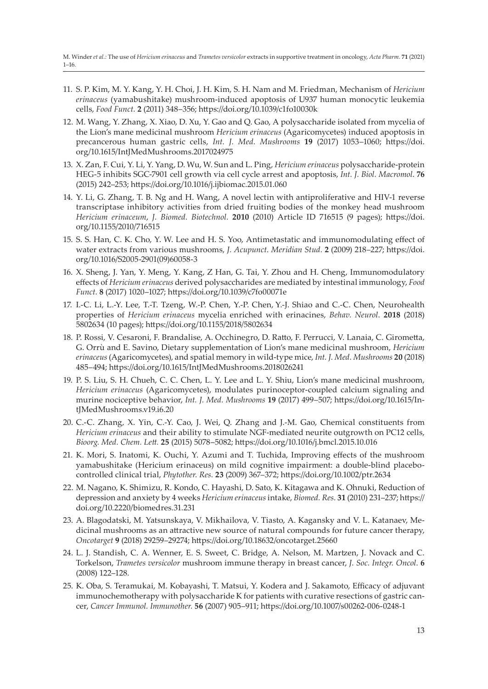- 11. S. P. Kim, M. Y. Kang, Y. H. Choi, J. H. Kim, S. H. Nam and M. Friedman, Mechanism of *Hericium erinaceus* (yamabushitake) mushroom-induced apoptosis of U937 human monocytic leukemia cells, *Food Funct.* **2** (2011) 348–356; https://doi.org/10.1039/c1fo10030k
- 12. M. Wang, Y. Zhang, X. Xiao, D. Xu, Y. Gao and Q. Gao, A polysaccharide isolated from mycelia of the Lion's mane medicinal mushroom *Hericium erinaceus* (Agaricomycetes) induced apoptosis in precancerous human gastric cells, *Int. J. Med. Mushrooms* **19** (2017) 1053–1060; https://doi. org/10.1615/IntJMedMushrooms.2017024975
- 13. X. Zan, F. Cui, Y. Li, Y. Yang, D. Wu, W. Sun and L. Ping, *Hericium erinaceus* polysaccharide-protein HEG-5 inhibits SGC-7901 cell growth via cell cycle arrest and apoptosis, *Int. J. Biol. Macromol*. **76** (2015) 242–253; https://doi.org/10.1016/j.ijbiomac.2015.01.060
- 14. Y. Li, G. Zhang, T. B. Ng and H. Wang, A novel lectin with antiproliferative and HIV-1 reverse transcriptase inhibitory activities from dried fruiting bodies of the monkey head mushroom *Hericium erinaceum*, *J. Biomed. Biotechnol.* **2010** (2010) Article ID 716515 (9 pages); https://doi. org/10.1155/2010/716515
- 15. S. S. Han, C. K. Cho, Y. W. Lee and H. S. Yoo, Antimetastatic and immunomodulating effect of water extracts from various mushrooms, *J. Acupunct. Meridian Stud.* **2** (2009) 218–227; https://doi. org/10.1016/S2005-2901(09)60058-3
- 16. X. Sheng, J. Yan, Y. Meng, Y. Kang, Z Han, G. Tai, Y. Zhou and H. Cheng, Immunomodulatory effects of *Hericium erinaceus* derived polysaccharides are mediated by intestinal immunology, *Food Funct.* **8** (2017) 1020–1027; https://doi.org/10.1039/c7fo00071e
- 17. I.-C. Li, L.-Y. Lee, T.-T. Tzeng, W.-P. Chen, Y.-P. Chen, Y.-J. Shiao and C.-C. Chen, Neurohealth properties of *Hericium erinaceus* mycelia enriched with erinacines, *Behav. Neurol.* **2018** (2018) 5802634 (10 pages); https://doi.org/10.1155/2018/5802634
- 18. P. Rossi, V. Cesaroni, F. Brandalise, A. Occhinegro, D. Ratto, F. Perrucci, V. Lanaia, C. Girometta, G. Orrù and E. Savino, Dietary supplementation of Lion's mane medicinal mushroom, *Hericium erinaceus* (Agaricomycetes), and spatial memory in wild-type mice, *Int. J. Med. Mushrooms* **20** (2018) 485–494; https://doi.org/10.1615/IntJMedMushrooms.2018026241
- 19. P. S. Liu, S. H. Chueh, C. C. Chen, L. Y. Lee and L. Y. Shiu, Lion's mane medicinal mushroom, *Hericium erinaceus* (Agaricomycetes), modulates purinoceptor-coupled calcium signaling and murine nociceptive behavior, *Int. J. Med. Mushrooms* **19** (2017) 499–507; https://doi.org/10.1615/IntJMedMushrooms.v19.i6.20
- 20. C.-C. Zhang, X. Yin, C.-Y. Cao, J. Wei, Q. Zhang and J.-M. Gao, Chemical constituents from *Hericium erinaceus* and their ability to stimulate NGF-mediated neurite outgrowth on PC12 cells, *Bioorg. Med. Chem. Lett.* **25** (2015) 5078–5082; https://doi.org/10.1016/j.bmcl.2015.10.016
- 21. K. Mori, S. Inatomi, K. Ouchi, Y. Azumi and T. Tuchida, Improving effects of the mushroom yamabushitake (Hericium erinaceus) on mild cognitive impairment: a double-blind placebocontrolled clinical trial, *Phytother. Res.* **23** (2009) 367–372; https://doi.org/10.1002/ptr.2634
- 22. M. Nagano, K. Shimizu, R. Kondo, C. Hayashi, D. Sato, K. Kitagawa and K. Ohnuki, Reduction of depression and anxiety by 4 weeks *Hericium erinaceus* intake, *Biomed. Res.* **31** (2010) 231–237; https:// doi.org/10.2220/biomedres.31.231
- 23. A. Blagodatski, M. Yatsunskaya, V. Mikhailova, V. Tiasto, A. Kagansky and V. L. Katanaev, Medicinal mushrooms as an attractive new source of natural compounds for future cancer therapy, *Oncotarget* **9** (2018) 29259–29274; https://doi.org/10.18632/oncotarget.25660
- 24. L. J. Standish, C. A. Wenner, E. S. Sweet, C. Bridge, A. Nelson, M. Martzen, J. Novack and C. Torkelson, *Trametes versicolor* mushroom immune therapy in breast cancer, *J. Soc. Integr. Oncol.* **6** (2008) 122–128.
- 25. K. Oba, S. Teramukai, M. Kobayashi, T. Matsui, Y. Kodera and J. Sakamoto, Efficacy of adjuvant immunochemotherapy with polysaccharide K for patients with curative resections of gastric cancer, *Cancer Immunol. Immunother.* **56** (2007) 905–911; https://doi.org/10.1007/s00262-006-0248-1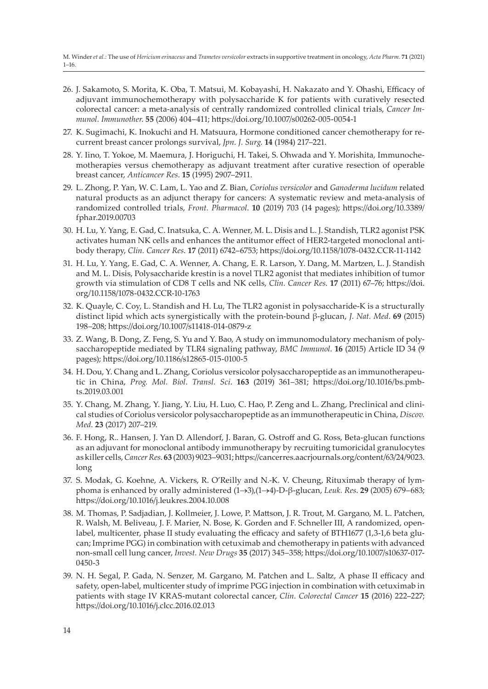- 26. J. Sakamoto, S. Morita, K. Oba, T. Matsui, M. Kobayashi, H. Nakazato and Y. Ohashi, Efficacy of adjuvant immunochemotherapy with polysaccharide K for patients with curatively resected colorectal cancer: a meta-analysis of centrally randomized controlled clinical trials, *Cancer Immunol. Immunother*. **55** (2006) 404–411; https://doi.org/10.1007/s00262-005-0054-1
- 27. K. Sugimachi, K. Inokuchi and H. Matsuura, Hormone conditioned cancer chemotherapy for recurrent breast cancer prolongs survival, *Jpn. J. Surg.* **14** (1984) 217–221.
- 28. Y. Iino, T. Yokoe, M. Maemura, J. Horiguchi, H. Takei, S. Ohwada and Y. Morishita, Immunochemotherapies versus chemotherapy as adjuvant treatment after curative resection of operable breast cancer, *Anticancer Res*. **15** (1995) 2907–2911.
- 29. L. Zhong, P. Yan, W. C. Lam, L. Yao and Z. Bian, *Coriolus versicolor* and *Ganoderma lucidum* related natural products as an adjunct therapy for cancers: A systematic review and meta-analysis of randomized controlled trials, *Front. Pharmacol*. **10** (2019) 703 (14 pages); https://doi.org/10.3389/ fphar.2019.00703
- 30. H. Lu, Y. Yang, E. Gad, C. Inatsuka, C. A. Wenner, M. L. Disis and L. J. Standish, TLR2 agonist PSK activates human NK cells and enhances the antitumor effect of HER2-targeted monoclonal antibody therapy, *Clin. Cancer Res*. **17** (2011) 6742–6753; https://doi.org/10.1158/1078-0432.CCR-11-1142
- 31. H. Lu, Y. Yang, E. Gad, C. A. Wenner, A. Chang, E. R. Larson, Y. Dang, M. Martzen, L. J. Standish and M. L. Disis, Polysaccharide krestin is a novel TLR2 agonist that mediates inhibition of tumor growth via stimulation of CD8 T cells and NK cells, *Clin. Cancer Res*. **17** (2011) 67–76; https://doi. org/10.1158/1078-0432.CCR-10-1763
- 32. K. Quayle, C. Coy, L. Standish and H. Lu, The TLR2 agonist in polysaccharide-K is a structurally distinct lipid which acts synergistically with the protein-bound β-glucan, *J. Nat. Med*. **69** (2015) 198–208; https://doi.org/10.1007/s11418-014-0879-z
- 33. Z. Wang, B. Dong, Z. Feng, S. Yu and Y. Bao, A study on immunomodulatory mechanism of polysaccharopeptide mediated by TLR4 signaling pathway, *BMC Immunol*. **16** (2015) Article ID 34 (9 pages); https://doi.org/10.1186/s12865-015-0100-5
- 34. H. Dou, Y. Chang and L. Zhang, Coriolus versicolor polysaccharopeptide as an immunotherapeutic in China, *Prog. Mol. Biol. Transl. Sci*. **163** (2019) 361–381; https://doi.org/10.1016/bs.pmbts.2019.03.001
- 35. Y. Chang, M. Zhang, Y. Jiang, Y. Liu, H. Luo, C. Hao, P. Zeng and L. Zhang, Preclinical and clinical studies of Coriolus versicolor polysaccharopeptide as an immunotherapeutic in China, *Discov. Med*. **23** (2017) 207–219.
- 36. F. Hong, R.. Hansen, J. Yan D. Allendorf, J. Baran, G. Ostroff and G. Ross, Beta-glucan functions as an adjuvant for monoclonal antibody immunotherapy by recruiting tumoricidal granulocytes as killer cells, *Cancer Res*. **63** (2003) 9023–9031; https://cancerres.aacrjournals.org/content/63/24/9023. long
- 37. S. Modak, G. Koehne, A. Vickers, R. O'Reilly and N.-K. V. Cheung, Rituximab therapy of lymphoma is enhanced by orally administered (1®3),(1®4)-D-β-glucan, *Leuk. Res*. **29** (2005) 679–683; https://doi.org/10.1016/j.leukres.2004.10.008
- 38. M. Thomas, P. Sadjadian, J. Kollmeier, J. Lowe, P. Mattson, J. R. Trout, M. Gargano, M. L. Patchen, R. Walsh, M. Beliveau, J. F. Marier, N. Bose, K. Gorden and F. Schneller III, A randomized, openlabel, multicenter, phase II study evaluating the efficacy and safety of BTH1677 (1,3-1,6 beta glucan; Imprime PGG) in combination with cetuximab and chemotherapy in patients with advanced non-small cell lung cancer, *Invest. New Drugs* **35** (2017) 345–358; https://doi.org/10.1007/s10637-017- 0450-3
- 39. N. H. Segal, P. Gada, N. Senzer, M. Gargano, M. Patchen and L. Saltz, A phase II efficacy and safety, open-label, multicenter study of imprime PGG injection in combination with cetuximab in patients with stage IV KRAS-mutant colorectal cancer, *Clin. Colorectal Cancer* **15** (2016) 222–227; https://doi.org/10.1016/j.clcc.2016.02.013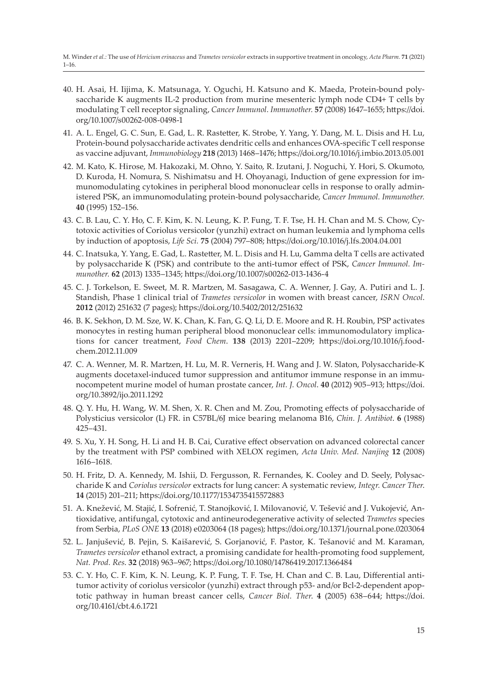- 40. H. Asai, H. Iijima, K. Matsunaga, Y. Oguchi, H. Katsuno and K. Maeda, Protein-bound polysaccharide K augments IL-2 production from murine mesenteric lymph node CD4+ T cells by modulating T cell receptor signaling, *Cancer Immunol. Immunother.* **57** (2008) 1647–1655; https://doi. org/10.1007/s00262-008-0498-1
- 41. A. L. Engel, G. C. Sun, E. Gad, L. R. Rastetter, K. Strobe, Y. Yang, Y. Dang, M. L. Disis and H. Lu, Protein-bound polysaccharide activates dendritic cells and enhances OVA-specific T cell response as vaccine adjuvant, *Immunobiology* **218** (2013) 1468–1476; https://doi.org/10.1016/j.imbio.2013.05.001
- 42. M. Kato, K. Hirose, M. Hakozaki, M. Ohno, Y. Saito, R. Izutani, J. Noguchi, Y. Hori, S. Okumoto, D. Kuroda, H. Nomura, S. Nishimatsu and H. Ohoyanagi, Induction of gene expression for immunomodulating cytokines in peripheral blood mononuclear cells in response to orally administered PSK, an immunomodulating protein-bound polysaccharide, *Cancer Immunol. Immunother.* **40** (1995) 152–156.
- 43. C. B. Lau, C. Y. Ho, C. F. Kim, K. N. Leung, K. P. Fung, T. F. Tse, H. H. Chan and M. S. Chow, Cytotoxic activities of Coriolus versicolor (yunzhi) extract on human leukemia and lymphoma cells by induction of apoptosis, *Life Sci.* **75** (2004) 797–808; https://doi.org/10.1016/j.lfs.2004.04.001
- 44. C. Inatsuka, Y. Yang, E. Gad, L. Rastetter, M. L. Disis and H. Lu, Gamma delta T cells are activated by polysaccharide K (PSK) and contribute to the anti-tumor effect of PSK, *Cancer Immunol. Immunother.* **62** (2013) 1335–1345; https://doi.org/10.1007/s00262-013-1436-4
- 45. C. J. Torkelson, E. Sweet, M. R. Martzen, M. Sasagawa, C. A. Wenner, J. Gay, A. Putiri and L. J. Standish, Phase 1 clinical trial of *Trametes versicolor* in women with breast cancer, *ISRN Oncol*. **2012** (2012) 251632 (7 pages); https://doi.org/10.5402/2012/251632
- 46. B. K. Sekhon, D. M. Sze, W. K. Chan, K. Fan, G. Q. Li, D. E. Moore and R. H. Roubin, PSP activates monocytes in resting human peripheral blood mononuclear cells: immunomodulatory implications for cancer treatment, *Food Chem*. **138** (2013) 2201–2209; https://doi.org/10.1016/j.foodchem.2012.11.009
- 47. C. A. Wenner, M. R. Martzen, H. Lu, M. R. Verneris, H. Wang and J. W. Slaton, Polysaccharide-K augments docetaxel-induced tumor suppression and antitumor immune response in an immunocompetent murine model of human prostate cancer, *Int. J. Oncol*. **40** (2012) 905–913; https://doi. org/10.3892/ijo.2011.1292
- 48. Q. Y. Hu, H. Wang, W. M. Shen, X. R. Chen and M. Zou, Promoting effects of polysaccharide of Polysticius versicolor (L) FR. in C57BL/6J mice bearing melanoma B16, *Chin. J. Antibiot*. **6** (1988) 425–431.
- 49. S. Xu, Y. H. Song, H. Li and H. B. Cai, Curative effect observation on advanced colorectal cancer by the treatment with PSP combined with XELOX regimen, *Acta Univ. Med. Nanjing* **12** (2008) 1616–1618.
- 50. H. Fritz, D. A. Kennedy, M. Ishii, D. Fergusson, R. Fernandes, K. Cooley and D. Seely, Polysaccharide K and *Coriolus versicolor* extracts for lung cancer: A systematic review, *Integr. Cancer Ther*. **14** (2015) 201–211; https://doi.org/10.1177/1534735415572883
- 51. A. Knežević, M. Stajić, I. Sofrenić, T. Stanojković, I. Milovanović, V. Tešević and J. Vukojević, Antioxidative, antifungal, cytotoxic and antineurodegenerative activity of selected *Trametes* species from Serbia, *PLoS ONE* **13** (2018) e0203064 (18 pages); https://doi.org/10.1371/journal.pone.0203064
- 52. L. Janjušević, B. Pejin, S. Kaišarević, S. Gorjanović, F. Pastor, K. Tešanović and M. Karaman, *Trametes versicolor* ethanol extract, a promising candidate for health-promoting food supplement, *Nat. Prod. Res*. **32** (2018) 963–967; https://doi.org/10.1080/14786419.2017.1366484
- 53. C. Y. Ho, C. F. Kim, K. N. Leung, K. P. Fung, T. F. Tse, H. Chan and C. B. Lau, Differential antitumor activity of coriolus versicolor (yunzhi) extract through p53- and/or Bcl-2-dependent apoptotic pathway in human breast cancer cells, *Cancer Biol. Ther*. **4** (2005) 638–644; https://doi. org/10.4161/cbt.4.6.1721